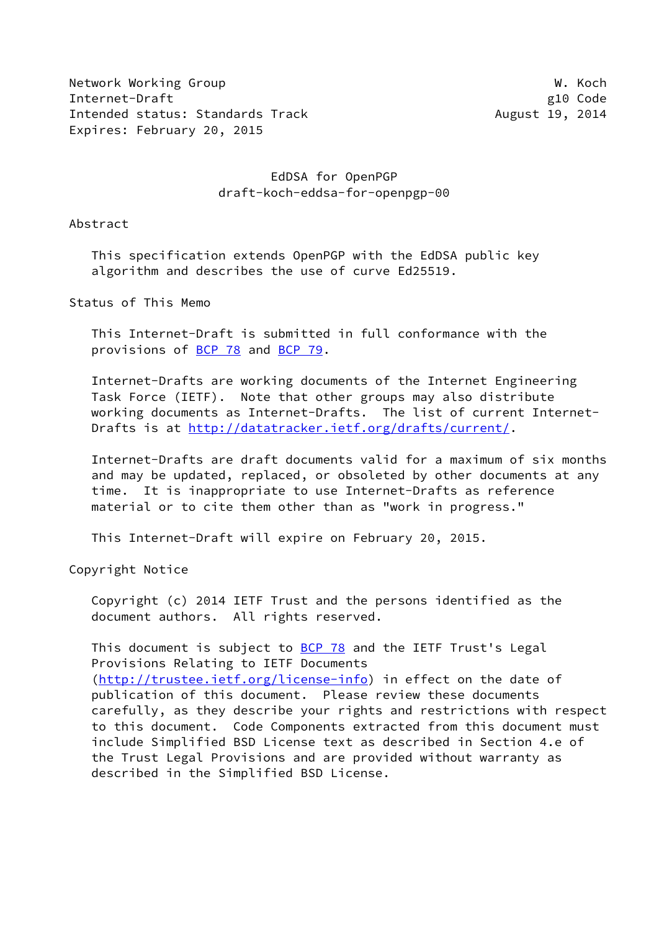Network Working Group Network Working Group Network W. Koch Internet-Draft g10 Code Intended status: Standards Track August 19, 2014 Expires: February 20, 2015

# EdDSA for OpenPGP draft-koch-eddsa-for-openpgp-00

Abstract

 This specification extends OpenPGP with the EdDSA public key algorithm and describes the use of curve Ed25519.

Status of This Memo

 This Internet-Draft is submitted in full conformance with the provisions of [BCP 78](https://datatracker.ietf.org/doc/pdf/bcp78) and [BCP 79](https://datatracker.ietf.org/doc/pdf/bcp79).

 Internet-Drafts are working documents of the Internet Engineering Task Force (IETF). Note that other groups may also distribute working documents as Internet-Drafts. The list of current Internet- Drafts is at<http://datatracker.ietf.org/drafts/current/>.

 Internet-Drafts are draft documents valid for a maximum of six months and may be updated, replaced, or obsoleted by other documents at any time. It is inappropriate to use Internet-Drafts as reference material or to cite them other than as "work in progress."

This Internet-Draft will expire on February 20, 2015.

Copyright Notice

 Copyright (c) 2014 IETF Trust and the persons identified as the document authors. All rights reserved.

This document is subject to  $BCP$  78 and the IETF Trust's Legal Provisions Relating to IETF Documents [\(http://trustee.ietf.org/license-info](http://trustee.ietf.org/license-info)) in effect on the date of publication of this document. Please review these documents carefully, as they describe your rights and restrictions with respect to this document. Code Components extracted from this document must include Simplified BSD License text as described in Section 4.e of the Trust Legal Provisions and are provided without warranty as described in the Simplified BSD License.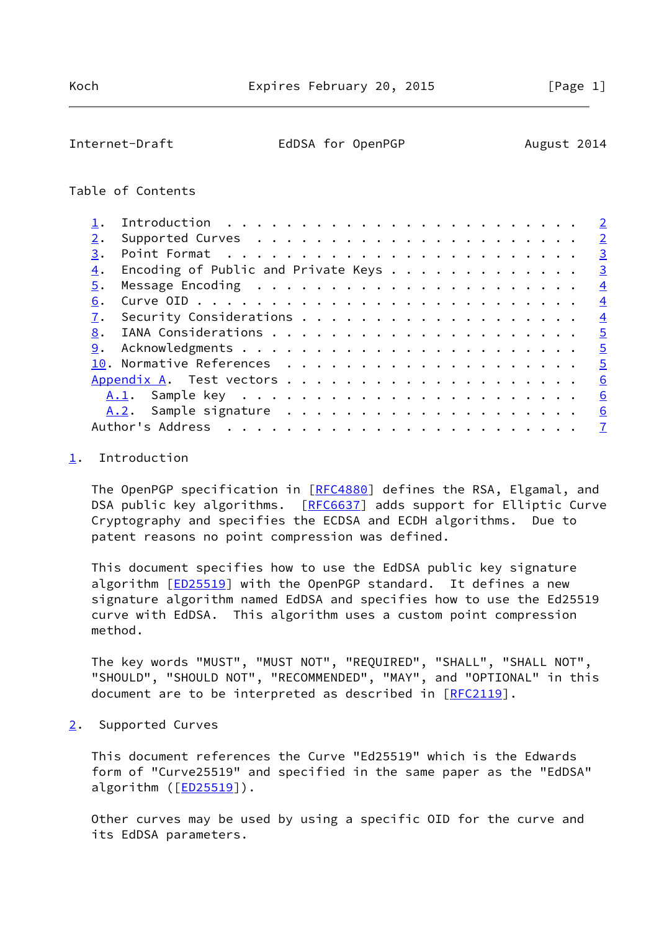<span id="page-1-1"></span>Internet-Draft EdDSA for OpenPGP August 2014

# Table of Contents

|    |                                     | $\overline{2}$ |
|----|-------------------------------------|----------------|
|    |                                     | $\overline{2}$ |
| 3. |                                     | $\overline{3}$ |
| 4. | Encoding of Public and Private Keys | $\overline{3}$ |
| 5. |                                     | $\overline{4}$ |
| 6. |                                     | $\overline{4}$ |
| 7. |                                     | $\overline{4}$ |
| 8. |                                     | $\overline{5}$ |
| 9. |                                     | $\overline{5}$ |
|    |                                     | $\overline{5}$ |
|    |                                     | 6              |
|    |                                     | 6              |
|    |                                     | 6              |
|    | Author's Address                    |                |

### <span id="page-1-0"></span>[1](#page-1-0). Introduction

The OpenPGP specification in [\[RFC4880](https://datatracker.ietf.org/doc/pdf/rfc4880)] defines the RSA, Elgamal, and DSA public key algorithms. [\[RFC6637](https://datatracker.ietf.org/doc/pdf/rfc6637)] adds support for Elliptic Curve Cryptography and specifies the ECDSA and ECDH algorithms. Due to patent reasons no point compression was defined.

 This document specifies how to use the EdDSA public key signature algorithm [*[ED25519](#page-5-4)*] with the OpenPGP standard. It defines a new signature algorithm named EdDSA and specifies how to use the Ed25519 curve with EdDSA. This algorithm uses a custom point compression method.

 The key words "MUST", "MUST NOT", "REQUIRED", "SHALL", "SHALL NOT", "SHOULD", "SHOULD NOT", "RECOMMENDED", "MAY", and "OPTIONAL" in this document are to be interpreted as described in [\[RFC2119](https://datatracker.ietf.org/doc/pdf/rfc2119)].

<span id="page-1-2"></span>[2](#page-1-2). Supported Curves

 This document references the Curve "Ed25519" which is the Edwards form of "Curve25519" and specified in the same paper as the "EdDSA" algorithm ([[ED25519\]](#page-5-4)).

 Other curves may be used by using a specific OID for the curve and its EdDSA parameters.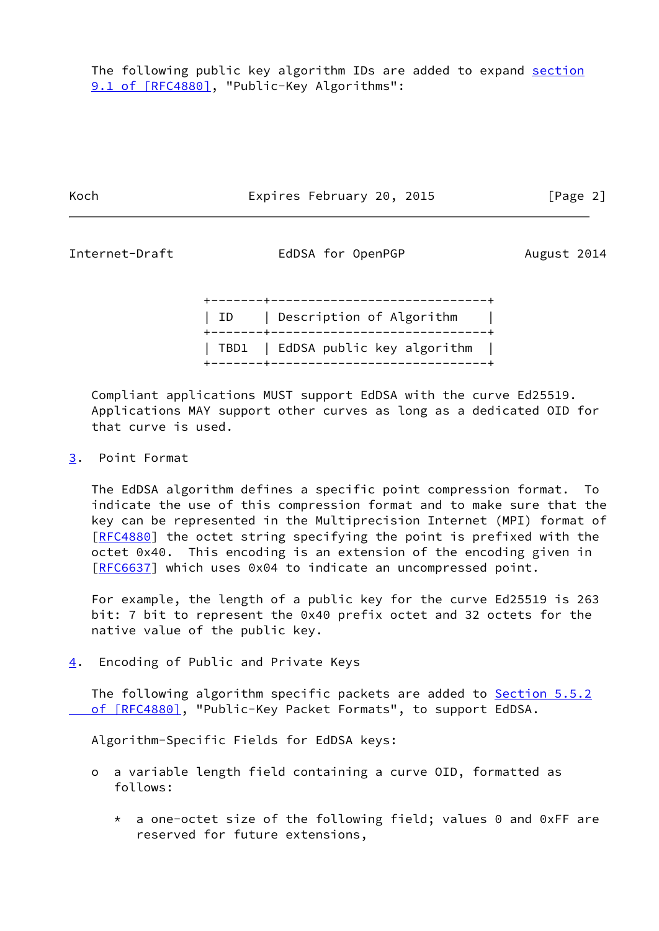Koch **Expires February 20, 2015** [Page 2]

<span id="page-2-1"></span>

Internet-Draft **EdDSA** for OpenPGP **August 2014** 

 +-------+-----------------------------+ | ID | Description of Algorithm +-------+-----------------------------+ | TBD1 | EdDSA public key algorithm | +-------+-----------------------------+

 Compliant applications MUST support EdDSA with the curve Ed25519. Applications MAY support other curves as long as a dedicated OID for that curve is used.

<span id="page-2-0"></span>[3](#page-2-0). Point Format

 The EdDSA algorithm defines a specific point compression format. To indicate the use of this compression format and to make sure that the key can be represented in the Multiprecision Internet (MPI) format of [\[RFC4880](https://datatracker.ietf.org/doc/pdf/rfc4880)] the octet string specifying the point is prefixed with the octet 0x40. This encoding is an extension of the encoding given in [\[RFC6637](https://datatracker.ietf.org/doc/pdf/rfc6637)] which uses 0x04 to indicate an uncompressed point.

 For example, the length of a public key for the curve Ed25519 is 263 bit: 7 bit to represent the 0x40 prefix octet and 32 octets for the native value of the public key.

<span id="page-2-2"></span>[4](#page-2-2). Encoding of Public and Private Keys

The following algorithm specific packets are added to **Section 5.5.2** of [RFC4880], "Public-Key Packet Formats", to support EdDSA.

Algorithm-Specific Fields for EdDSA keys:

- o a variable length field containing a curve OID, formatted as follows:
	- \* a one-octet size of the following field; values 0 and 0xFF are reserved for future extensions,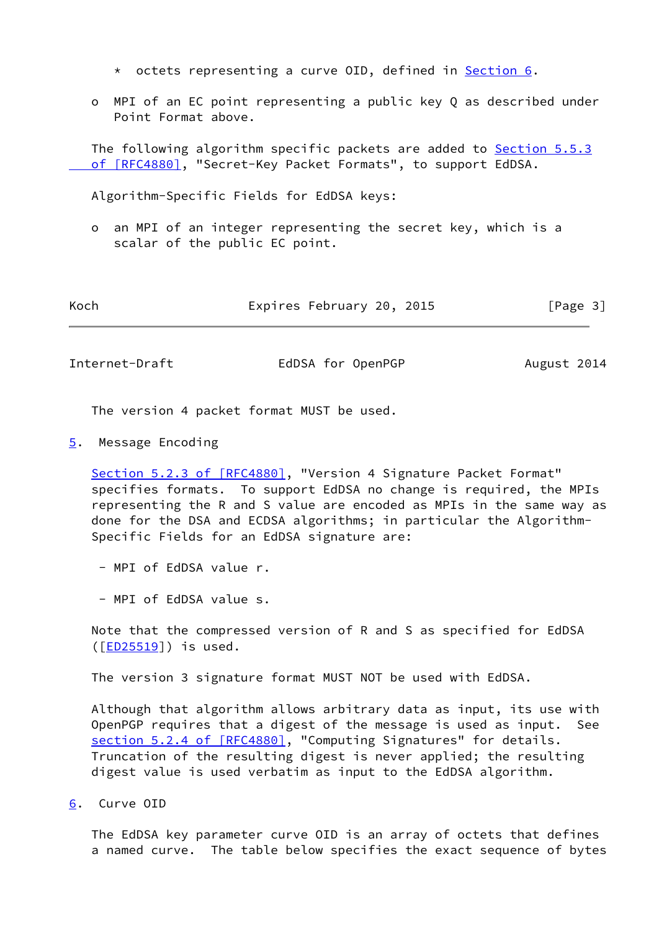- \* octets representing a curve OID, defined in [Section 6.](#page-3-2)
- o MPI of an EC point representing a public key Q as described under Point Format above.

 The following algorithm specific packets are added to [Section](https://datatracker.ietf.org/doc/pdf/rfc4880#section-5.5.3) 5.5.3 of [RFC4880], "Secret-Key Packet Formats", to support EdDSA.

Algorithm-Specific Fields for EdDSA keys:

 o an MPI of an integer representing the secret key, which is a scalar of the public EC point.

| Koch | Expires February 20, 2015 | [Page 3] |
|------|---------------------------|----------|
|------|---------------------------|----------|

<span id="page-3-1"></span>Internet-Draft EdDSA for OpenPGP August 2014

The version 4 packet format MUST be used.

<span id="page-3-0"></span>[5](#page-3-0). Message Encoding

 Section [5.2.3 of \[RFC4880\]](https://datatracker.ietf.org/doc/pdf/rfc4880#section-5.2.3), "Version 4 Signature Packet Format" specifies formats. To support EdDSA no change is required, the MPIs representing the R and S value are encoded as MPIs in the same way as done for the DSA and ECDSA algorithms; in particular the Algorithm- Specific Fields for an EdDSA signature are:

- MPI of EdDSA value r.
- MPI of EdDSA value s.

 Note that the compressed version of R and S as specified for EdDSA ([\[ED25519](#page-5-4)]) is used.

The version 3 signature format MUST NOT be used with EdDSA.

 Although that algorithm allows arbitrary data as input, its use with OpenPGP requires that a digest of the message is used as input. See section [5.2.4 of \[RFC4880\]](https://datatracker.ietf.org/doc/pdf/rfc4880#section-5.2.4), "Computing Signatures" for details. Truncation of the resulting digest is never applied; the resulting digest value is used verbatim as input to the EdDSA algorithm.

<span id="page-3-2"></span>[6](#page-3-2). Curve OID

 The EdDSA key parameter curve OID is an array of octets that defines a named curve. The table below specifies the exact sequence of bytes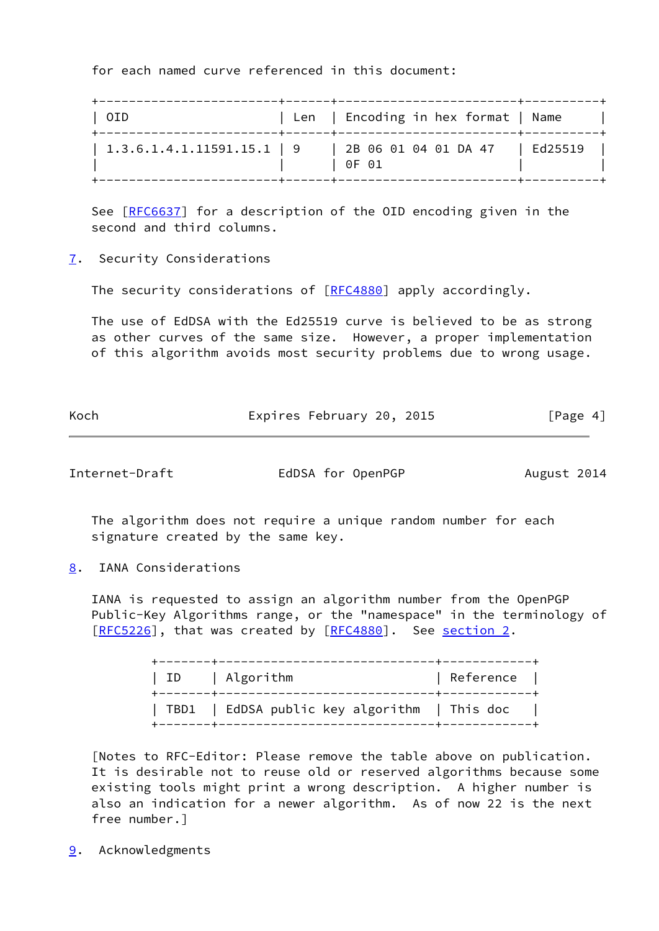for each named curve referenced in this document:

| OID                                      | +------+-------------------------+-----<br>Len   Encoding in hex format   Name |  |
|------------------------------------------|--------------------------------------------------------------------------------|--|
| $\vert$ 1.3.6.1.4.1.11591.15.1 $\vert$ 9 | 2B 06 01 04 01 DA 47   Ed25519<br>0F 01                                        |  |

See [\[RFC6637](https://datatracker.ietf.org/doc/pdf/rfc6637)] for a description of the OID encoding given in the second and third columns.

<span id="page-4-0"></span>[7](#page-4-0). Security Considerations

The security considerations of [\[RFC4880](https://datatracker.ietf.org/doc/pdf/rfc4880)] apply accordingly.

 The use of EdDSA with the Ed25519 curve is believed to be as strong as other curves of the same size. However, a proper implementation of this algorithm avoids most security problems due to wrong usage.

| Koch | Expires February 20, 2015 | [Page 4] |
|------|---------------------------|----------|

<span id="page-4-2"></span>

Internet-Draft **EdDSA** for OpenPGP **August 2014** 

 The algorithm does not require a unique random number for each signature created by the same key.

<span id="page-4-1"></span>[8](#page-4-1). IANA Considerations

 IANA is requested to assign an algorithm number from the OpenPGP Public-Key Algorithms range, or the "namespace" in the terminology of [\[RFC5226](https://datatracker.ietf.org/doc/pdf/rfc5226)], that was created by [\[RFC4880](https://datatracker.ietf.org/doc/pdf/rfc4880)]. See [section 2.](#page-1-2)

| ID   Algorithm                               | Reference |
|----------------------------------------------|-----------|
| TBD1   EdDSA public key algorithm   This doc |           |

 [Notes to RFC-Editor: Please remove the table above on publication. It is desirable not to reuse old or reserved algorithms because some existing tools might print a wrong description. A higher number is also an indication for a newer algorithm. As of now 22 is the next free number.]

<span id="page-4-3"></span>[9](#page-4-3). Acknowledgments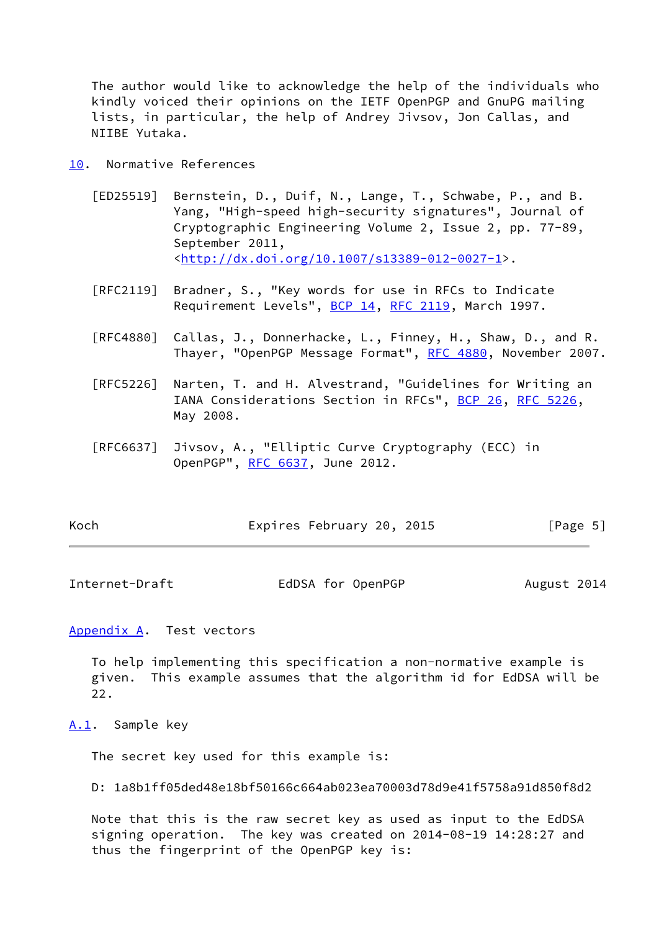The author would like to acknowledge the help of the individuals who kindly voiced their opinions on the IETF OpenPGP and GnuPG mailing lists, in particular, the help of Andrey Jivsov, Jon Callas, and NIIBE Yutaka.

- <span id="page-5-4"></span><span id="page-5-0"></span>[10.](#page-5-0) Normative References
	- [ED25519] Bernstein, D., Duif, N., Lange, T., Schwabe, P., and B. Yang, "High-speed high-security signatures", Journal of Cryptographic Engineering Volume 2, Issue 2, pp. 77-89, September 2011, <[http://dx.doi.org/10.1007/s13389-012-0027-1>](http://dx.doi.org/10.1007/s13389-012-0027-1).
	- [RFC2119] Bradner, S., "Key words for use in RFCs to Indicate Requirement Levels", [BCP 14](https://datatracker.ietf.org/doc/pdf/bcp14), [RFC 2119](https://datatracker.ietf.org/doc/pdf/rfc2119), March 1997.
	- [RFC4880] Callas, J., Donnerhacke, L., Finney, H., Shaw, D., and R. Thayer, "OpenPGP Message Format", [RFC 4880](https://datatracker.ietf.org/doc/pdf/rfc4880), November 2007.
	- [RFC5226] Narten, T. and H. Alvestrand, "Guidelines for Writing an IANA Considerations Section in RFCs", [BCP 26](https://datatracker.ietf.org/doc/pdf/bcp26), [RFC 5226](https://datatracker.ietf.org/doc/pdf/rfc5226), May 2008.
	- [RFC6637] Jivsov, A., "Elliptic Curve Cryptography (ECC) in OpenPGP", [RFC 6637](https://datatracker.ietf.org/doc/pdf/rfc6637), June 2012.

| Koch | Expires February 20, 2015 | [Page 5] |
|------|---------------------------|----------|
|------|---------------------------|----------|

<span id="page-5-2"></span>Internet-Draft **EdDSA** for OpenPGP **August 2014** 

<span id="page-5-1"></span>[Appendix A.](#page-5-1) Test vectors

 To help implementing this specification a non-normative example is given. This example assumes that the algorithm id for EdDSA will be 22.

#### <span id="page-5-3"></span>[A.1](#page-5-3). Sample key

The secret key used for this example is:

D: 1a8b1ff05ded48e18bf50166c664ab023ea70003d78d9e41f5758a91d850f8d2

 Note that this is the raw secret key as used as input to the EdDSA signing operation. The key was created on 2014-08-19 14:28:27 and thus the fingerprint of the OpenPGP key is: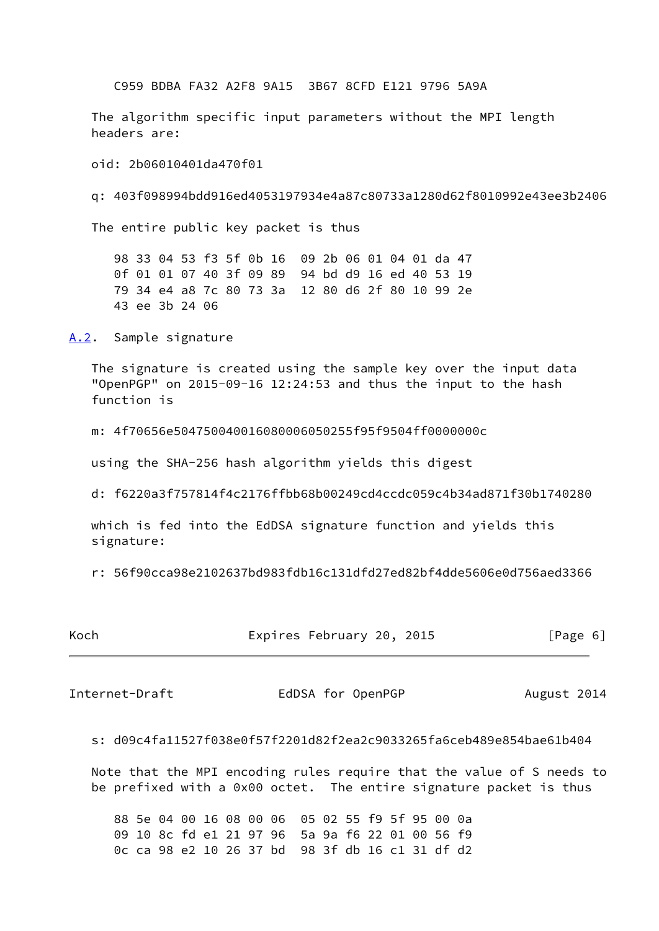C959 BDBA FA32 A2F8 9A15 3B67 8CFD E121 9796 5A9A

 The algorithm specific input parameters without the MPI length headers are:

oid: 2b06010401da470f01

q: 403f098994bdd916ed4053197934e4a87c80733a1280d62f8010992e43ee3b2406

The entire public key packet is thus

 98 33 04 53 f3 5f 0b 16 09 2b 06 01 04 01 da 47 0f 01 01 07 40 3f 09 89 94 bd d9 16 ed 40 53 19 79 34 e4 a8 7c 80 73 3a 12 80 d6 2f 80 10 99 2e 43 ee 3b 24 06

<span id="page-6-0"></span>[A.2](#page-6-0). Sample signature

 The signature is created using the sample key over the input data "OpenPGP" on 2015-09-16 12:24:53 and thus the input to the hash function is

m: 4f70656e504750040016080006050255f95f9504ff0000000c

using the SHA-256 hash algorithm yields this digest

d: f6220a3f757814f4c2176ffbb68b00249cd4ccdc059c4b34ad871f30b1740280

 which is fed into the EdDSA signature function and yields this signature:

r: 56f90cca98e2102637bd983fdb16c131dfd27ed82bf4dde5606e0d756aed3366

|  |  |  |  | [Page 6] |
|--|--|--|--|----------|

<span id="page-6-1"></span>Internet-Draft EdDSA for OpenPGP August 2014

s: d09c4fa11527f038e0f57f2201d82f2ea2c9033265fa6ceb489e854bae61b404

 Note that the MPI encoding rules require that the value of S needs to be prefixed with a 0x00 octet. The entire signature packet is thus

 88 5e 04 00 16 08 00 06 05 02 55 f9 5f 95 00 0a 09 10 8c fd e1 21 97 96 5a 9a f6 22 01 00 56 f9 0c ca 98 e2 10 26 37 bd 98 3f db 16 c1 31 df d2